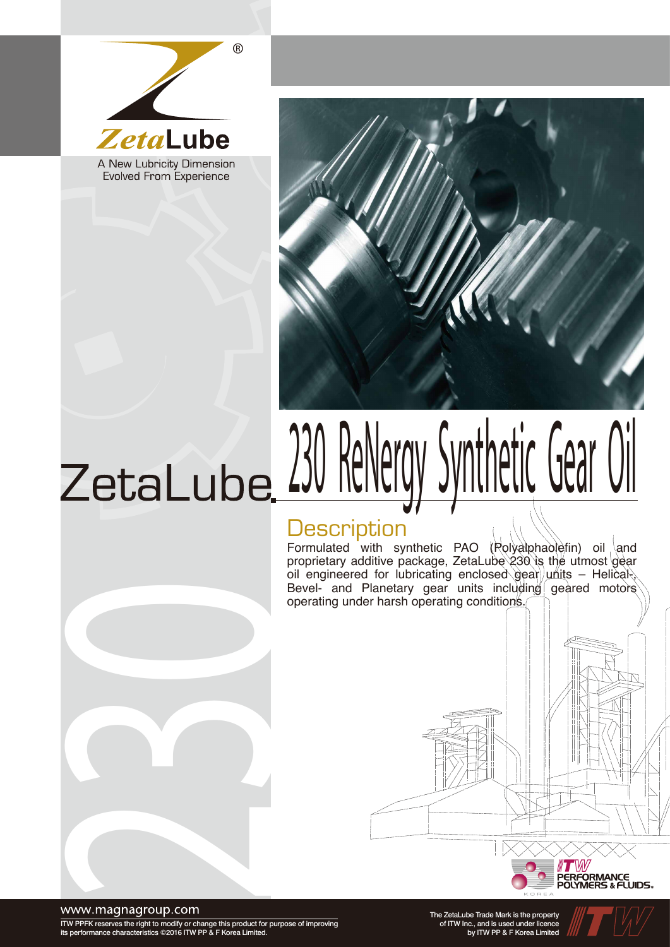

Evolved From Experience



# ZetaLube 230 ReNergy Synthetic Gear Oil

## **Description**

Formulated with synthetic PAO (Rolyalphaolefin) oil and proprietary additive package, ZetaLube 230 is the utmost gear oil engineered for lubricating enclosed gear units – Helical Bevel- and Planetary gear units including geared motors operating under harsh operating conditions.



www.magnagroup.com

ITW PPFK reserves the right to modify or change this product for purpose of improving its performance characteristics ©2016 ITW PP & F Korea Limited.

230

The ZetaLube Trade Mark is the property of ITW Inc., and is used under licence by ITW PP & F Korea Limited